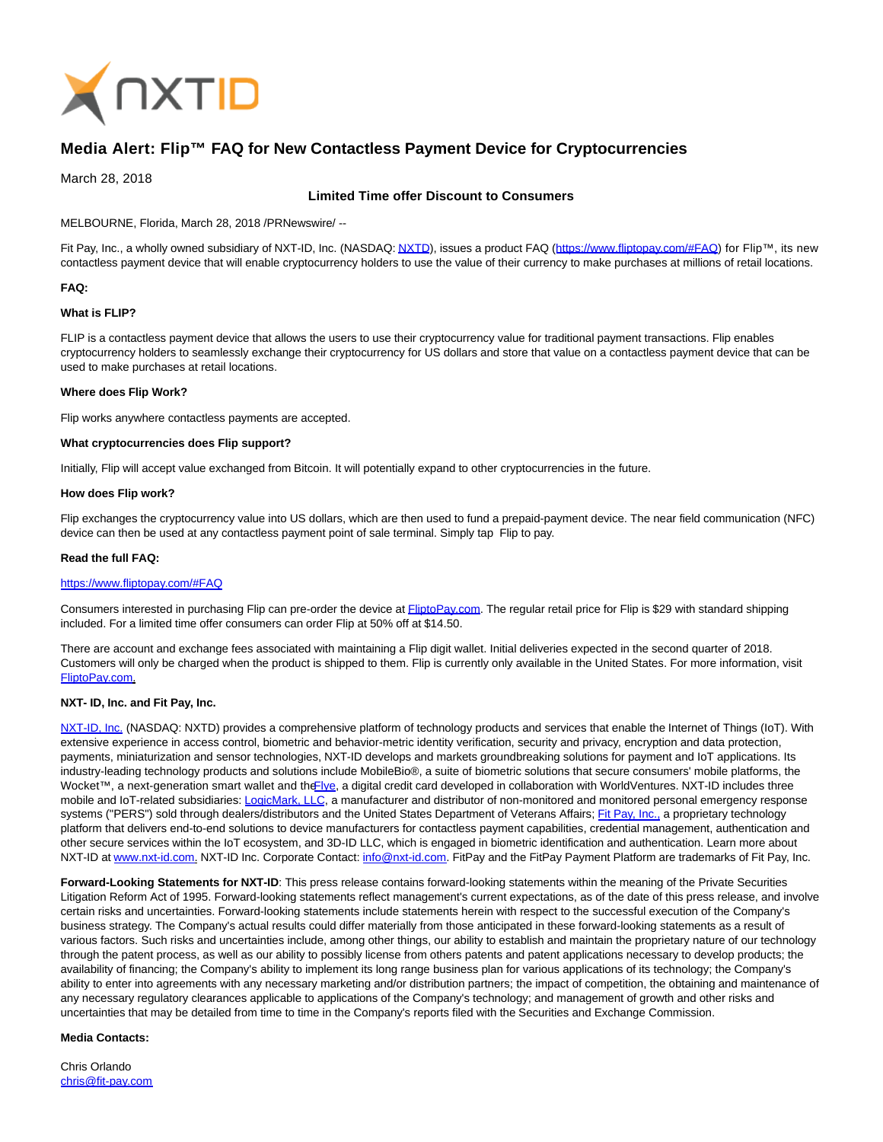

# **Media Alert: Flip™ FAQ for New Contactless Payment Device for Cryptocurrencies**

March 28, 2018

## **Limited Time offer Discount to Consumers**

MELBOURNE, Florida, March 28, 2018 /PRNewswire/ --

Fit Pay, Inc., a wholly owned subsidiary of NXT-ID, Inc. (NASDAQ[: NXTD\),](https://finance.yahoo.com/q?s=nxtd) issues a product FAQ [\(https://www.fliptopay.com/#FAQ\)](https://www.fliptopay.com/#FAQ) for Flip™, its new contactless payment device that will enable cryptocurrency holders to use the value of their currency to make purchases at millions of retail locations.

#### **FAQ:**

#### **What is FLIP?**

FLIP is a contactless payment device that allows the users to use their cryptocurrency value for traditional payment transactions. Flip enables cryptocurrency holders to seamlessly exchange their cryptocurrency for US dollars and store that value on a contactless payment device that can be used to make purchases at retail locations.

#### **Where does Flip Work?**

Flip works anywhere contactless payments are accepted.

## **What cryptocurrencies does Flip support?**

Initially, Flip will accept value exchanged from Bitcoin. It will potentially expand to other cryptocurrencies in the future.

#### **How does Flip work?**

Flip exchanges the cryptocurrency value into US dollars, which are then used to fund a prepaid-payment device. The near field communication (NFC) device can then be used at any contactless payment point of sale terminal. Simply tap Flip to pay.

#### **Read the full FAQ:**

## <https://www.fliptopay.com/#FAQ>

Consumers interested in purchasing Flip can pre-order the device at **FliptoPay.com**. The regular retail price for Flip is \$29 with standard shipping included. For a limited time offer consumers can order Flip at 50% off at \$14.50.

There are account and exchange fees associated with maintaining a Flip digit wallet. Initial deliveries expected in the second quarter of 2018. Customers will only be charged when the product is shipped to them. Flip is currently only available in the United States. For more information, visit [FliptoPay.com.](http://www.fliptopay.com/)

## **NXT- ID, Inc. and Fit Pay, Inc.**

[NXT-ID, Inc. \(](http://www.nxt-id.com/)NASDAQ: NXTD) provides a comprehensive platform of technology products and services that enable the Internet of Things (IoT). With extensive experience in access control, biometric and behavior-metric identity verification, security and privacy, encryption and data protection, payments, miniaturization and sensor technologies, NXT-ID develops and markets groundbreaking solutions for payment and IoT applications. Its industry-leading technology products and solutions include MobileBio®, a suite of biometric solutions that secure consumers' mobile platforms, the Wocket™, a next-generation smart wallet and th[e Flye,](https://www.flye.com/) a digital credit card developed in collaboration with WorldVentures. NXT-ID includes three mobile and IoT-related subsidiaries: [LogicMark, LLC,](https://www.logicmark.com/) a manufacturer and distributor of non-monitored and monitored personal emergency response systems ("PERS") sold through dealers/distributors and the United States Department of Veterans Affairs; [Fit Pay, Inc., a](http://www.fit-pay.com/) proprietary technology platform that delivers end-to-end solutions to device manufacturers for contactless payment capabilities, credential management, authentication and other secure services within the IoT ecosystem, and 3D-ID LLC, which is engaged in biometric identification and authentication. Learn more about NXT-ID at [www.nxt-id.com.](http://www.nxt-id.com/) NXT-ID Inc. Corporate Contact: [info@nxt-id.com.](mailto:info@nxt-id.com) FitPay and the FitPay Payment Platform are trademarks of Fit Pay, Inc.

Forward-Looking Statements for NXT-ID: This press release contains forward-looking statements within the meaning of the Private Securities Litigation Reform Act of 1995. Forward-looking statements reflect management's current expectations, as of the date of this press release, and involve certain risks and uncertainties. Forward-looking statements include statements herein with respect to the successful execution of the Company's business strategy. The Company's actual results could differ materially from those anticipated in these forward-looking statements as a result of various factors. Such risks and uncertainties include, among other things, our ability to establish and maintain the proprietary nature of our technology through the patent process, as well as our ability to possibly license from others patents and patent applications necessary to develop products; the availability of financing; the Company's ability to implement its long range business plan for various applications of its technology; the Company's ability to enter into agreements with any necessary marketing and/or distribution partners; the impact of competition, the obtaining and maintenance of any necessary regulatory clearances applicable to applications of the Company's technology; and management of growth and other risks and uncertainties that may be detailed from time to time in the Company's reports filed with the Securities and Exchange Commission.

## **Media Contacts:**

Chris Orlando [chris@fit-pay.com](mailto:chris@fit-pay.com)